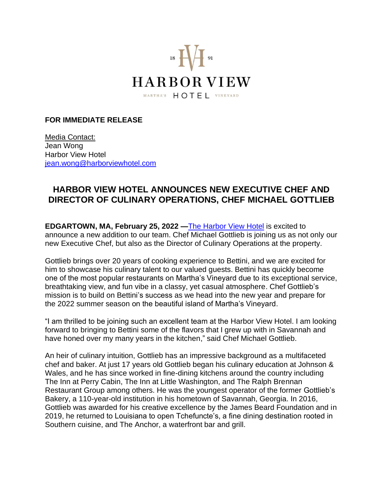

## **FOR IMMEDIATE RELEASE**

Media Contact: Jean Wong Harbor View Hotel [jean.wong@harborviewhotel.com](mailto:jean.wong@harborviewhotel.com)

## **HARBOR VIEW HOTEL ANNOUNCES NEW EXECUTIVE CHEF AND DIRECTOR OF CULINARY OPERATIONS, CHEF MICHAEL GOTTLIEB**

**EDGARTOWN, MA, February 25, 2022 —**[The Harbor View Hotel](https://harborviewhotel.com/) is excited to announce a new addition to our team. Chef Michael Gottlieb is joining us as not only our new Executive Chef, but also as the Director of Culinary Operations at the property.

Gottlieb brings over 20 years of cooking experience to Bettini, and we are excited for him to showcase his culinary talent to our valued guests. Bettini has quickly become one of the most popular restaurants on Martha's Vineyard due to its exceptional service, breathtaking view, and fun vibe in a classy, yet casual atmosphere. Chef Gottlieb's mission is to build on Bettini's success as we head into the new year and prepare for the 2022 summer season on the beautiful island of Martha's Vineyard.

"I am thrilled to be joining such an excellent team at the Harbor View Hotel. I am looking forward to bringing to Bettini some of the flavors that I grew up with in Savannah and have honed over my many years in the kitchen," said Chef Michael Gottlieb.

An heir of culinary intuition, Gottlieb has an impressive background as a multifaceted chef and baker. At just 17 years old Gottlieb began his culinary education at Johnson & Wales, and he has since worked in fine-dining kitchens around the country including The Inn at Perry Cabin, The Inn at Little Washington, and The Ralph Brennan Restaurant Group among others. He was the youngest operator of the former Gottlieb's Bakery, a 110-year-old institution in his hometown of Savannah, Georgia. In 2016, Gottlieb was awarded for his creative excellence by the James Beard Foundation and in 2019, he returned to Louisiana to open Tchefuncte's, a fine dining destination rooted in Southern cuisine, and The Anchor, a waterfront bar and grill.